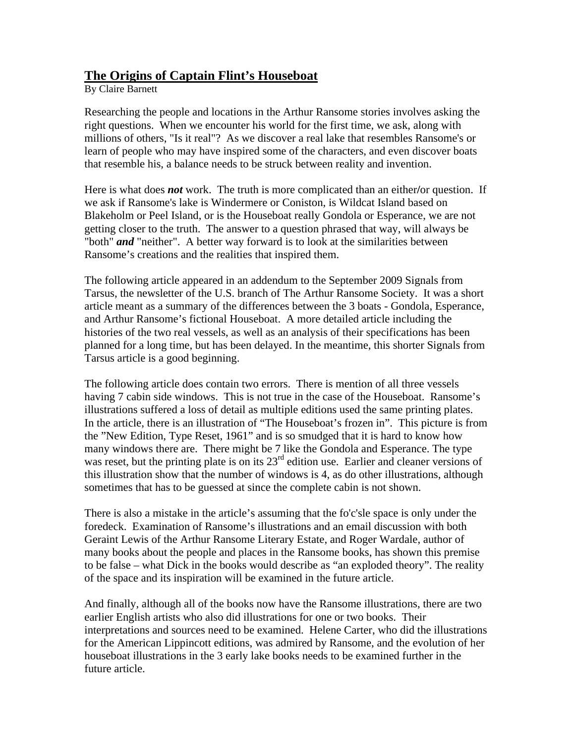## **The Origins of Captain Flint's Houseboat**

By Claire Barnett

Researching the people and locations in the Arthur Ransome stories involves asking the right questions. When we encounter his world for the first time, we ask, along with millions of others, "Is it real"? As we discover a real lake that resembles Ransome's or learn of people who may have inspired some of the characters, and even discover boats that resemble his, a balance needs to be struck between reality and invention.

Here is what does *not* work. The truth is more complicated than an either**/**or question. If we ask if Ransome's lake is Windermere or Coniston, is Wildcat Island based on Blakeholm or Peel Island, or is the Houseboat really Gondola or Esperance, we are not getting closer to the truth. The answer to a question phrased that way, will always be "both" *and* "neither". A better way forward is to look at the similarities between Ransome's creations and the realities that inspired them.

The following article appeared in an addendum to the September 2009 Signals from Tarsus, the newsletter of the U.S. branch of The Arthur Ransome Society. It was a short article meant as a summary of the differences between the 3 boats - Gondola, Esperance, and Arthur Ransome's fictional Houseboat. A more detailed article including the histories of the two real vessels, as well as an analysis of their specifications has been planned for a long time, but has been delayed. In the meantime, this shorter Signals from Tarsus article is a good beginning.

The following article does contain two errors. There is mention of all three vessels having 7 cabin side windows. This is not true in the case of the Houseboat. Ransome's illustrations suffered a loss of detail as multiple editions used the same printing plates. In the article, there is an illustration of "The Houseboat's frozen in". This picture is from the "New Edition, Type Reset, 1961" and is so smudged that it is hard to know how many windows there are. There might be 7 like the Gondola and Esperance. The type was reset, but the printing plate is on its  $23<sup>rd</sup>$  edition use. Earlier and cleaner versions of this illustration show that the number of windows is 4, as do other illustrations, although sometimes that has to be guessed at since the complete cabin is not shown.

There is also a mistake in the article's assuming that the fo'c'sle space is only under the foredeck. Examination of Ransome's illustrations and an email discussion with both Geraint Lewis of the Arthur Ransome Literary Estate, and Roger Wardale, author of many books about the people and places in the Ransome books, has shown this premise to be false – what Dick in the books would describe as "an exploded theory". The reality of the space and its inspiration will be examined in the future article.

And finally, although all of the books now have the Ransome illustrations, there are two earlier English artists who also did illustrations for one or two books. Their interpretations and sources need to be examined. Helene Carter, who did the illustrations for the American Lippincott editions, was admired by Ransome, and the evolution of her houseboat illustrations in the 3 early lake books needs to be examined further in the future article.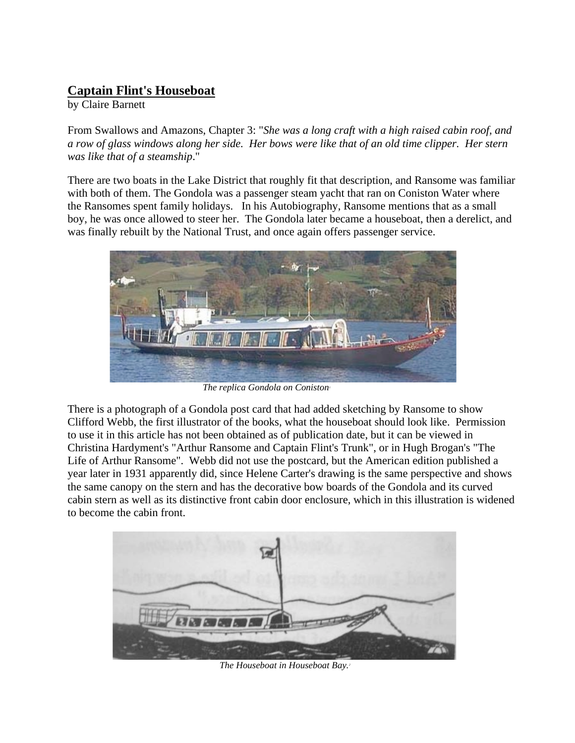## **Captain Flint's Houseboat**

by Claire Barnett

From Swallows and Amazons, Chapter 3: "*She was a long craft with a high raised cabin roof, and a row of glass windows along her side. Her bows were like that of an old time clipper. Her stern was like that of a steamship*."

There are two boats in the Lake District that roughly fit that description, and Ransome was familiar with both of them. The Gondola was a passenger steam yacht that ran on Coniston Water where the Ransomes spent family holidays. In his Autobiography, Ransome mentions that as a small boy, he was once allowed to steer her. The Gondola later became a houseboat, then a derelict, and was finally rebuilt by the National Trust, and once again offers passenger service.



*The replica Gondola on Coniston<sup>1</sup>* 

There is a photograph of a Gondola post card that had added sketching by Ransome to show Clifford Webb, the first illustrator of the books, what the houseboat should look like. Permission to use it in this article has not been obtained as of publication date, but it can be viewed in Christina Hardyment's "Arthur Ransome and Captain Flint's Trunk", or in Hugh Brogan's "The Life of Arthur Ransome". Webb did not use the postcard, but the American edition published a year later in 1931 apparently did, since Helene Carter's drawing is the same perspective and shows the same canopy on the stern and has the decorative bow boards of the Gondola and its curved cabin stern as well as its distinctive front cabin door enclosure, which in this illustration is widened to become the cabin front.



*The Houseboat in Houseboat Bay.*2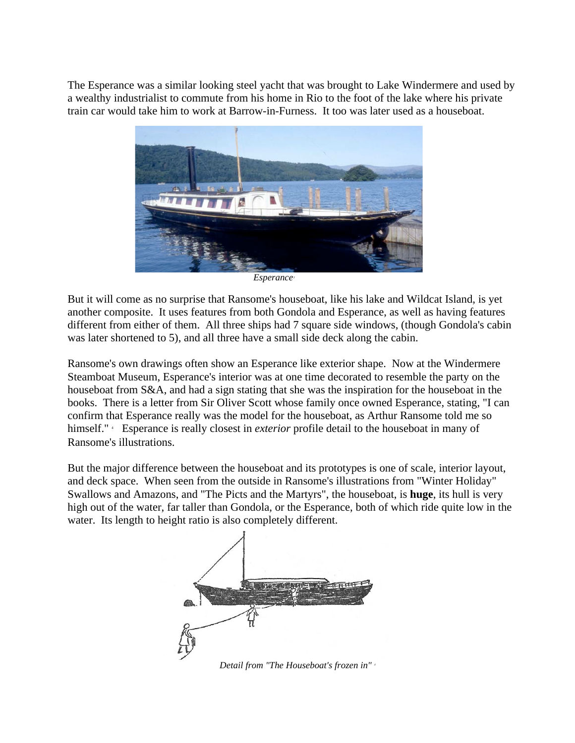The Esperance was a similar looking steel yacht that was brought to Lake Windermere and used by a wealthy industrialist to commute from his home in Rio to the foot of the lake where his private train car would take him to work at Barrow-in-Furness. It too was later used as a houseboat.



But it will come as no surprise that Ransome's houseboat, like his lake and Wildcat Island, is yet another composite. It uses features from both Gondola and Esperance, as well as having features different from either of them. All three ships had 7 square side windows, (though Gondola's cabin was later shortened to 5), and all three have a small side deck along the cabin.

Ransome's own drawings often show an Esperance like exterior shape. Now at the Windermere Steamboat Museum, Esperance's interior was at one time decorated to resemble the party on the houseboat from S&A, and had a sign stating that she was the inspiration for the houseboat in the books. There is a letter from Sir Oliver Scott whose family once owned Esperance, stating, "I can confirm that Esperance really was the model for the houseboat, as Arthur Ransome told me so himself." 4 Esperance is really closest in *exterior* profile detail to the houseboat in many of Ransome's illustrations.

But the major difference between the houseboat and its prototypes is one of scale, interior layout, and deck space. When seen from the outside in Ransome's illustrations from "Winter Holiday" Swallows and Amazons, and "The Picts and the Martyrs", the houseboat, is **huge**, its hull is very high out of the water, far taller than Gondola, or the Esperance, both of which ride quite low in the water. Its length to height ratio is also completely different.



*Detail from "The Houseboat's frozen in"* 5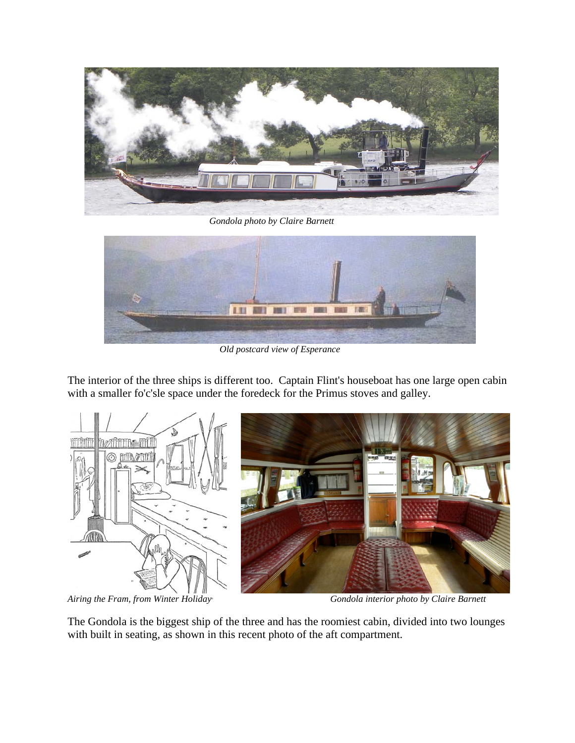

 *Gondola photo by Claire Barnett*



*Old postcard view of Esperance*

The interior of the three ships is different too. Captain Flint's houseboat has one large open cabin with a smaller fo'c'sle space under the foredeck for the Primus stoves and galley.



*Airing the Fram, from Winter Holiday*<sup>6</sup>



 *Gondola interior photo by Claire Barnett*

The Gondola is the biggest ship of the three and has the roomiest cabin, divided into two lounges with built in seating, as shown in this recent photo of the aft compartment.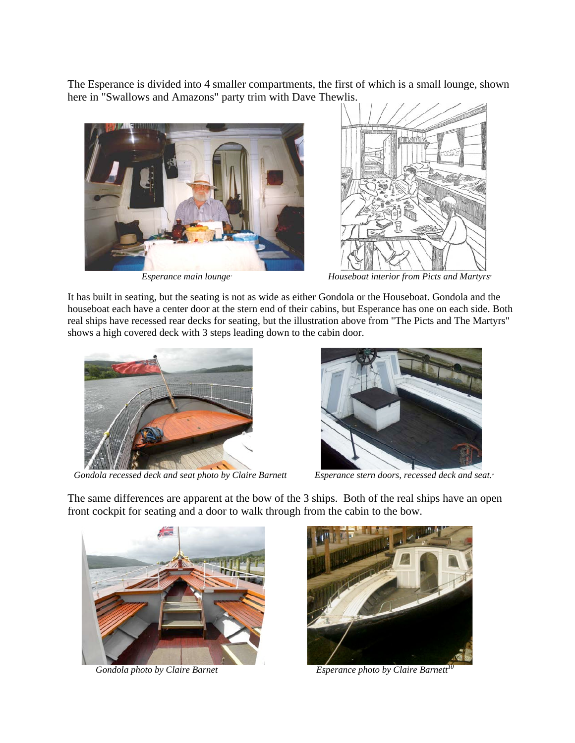The Esperance is divided into 4 smaller compartments, the first of which is a small lounge, shown here in "Swallows and Amazons" party trim with Dave Thewlis.



*Esperance main lounge*<sup>7</sup>



*Houseboat interior from Picts and Martyrs*<sup>8</sup>

It has built in seating, but the seating is not as wide as either Gondola or the Houseboat. Gondola and the houseboat each have a center door at the stern end of their cabins, but Esperance has one on each side. Both real ships have recessed rear decks for seating, but the illustration above from "The Picts and The Martyrs" shows a high covered deck with 3 steps leading down to the cabin door.



Gondola recessed deck and seat photo by Claire Barnett



Esperance stern doors, recessed deck and seat.

The same differences are apparent at the bow of the 3 ships. Both of the real ships have an open front cockpit for seating and a door to walk through from the cabin to the bow.





*Gondola photo by Claire Barnet Esperance photo by Claire Barnett<sup>10</sup>*